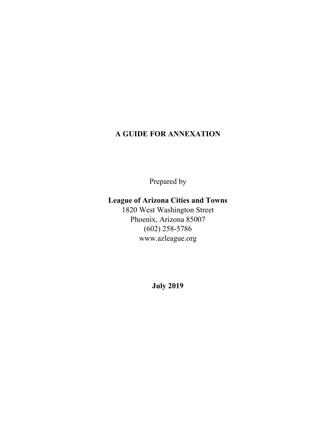# **A GUIDE FOR ANNEXATION**

Prepared by

# **League of Arizona Cities and Towns**

1820 West Washington Street Phoenix, Arizona 85007 (602) 258-5786 www.azleague.org

**July 2019**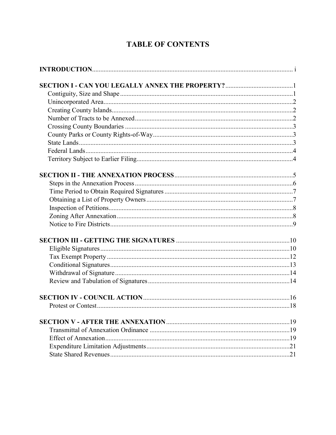# **TABLE OF CONTENTS**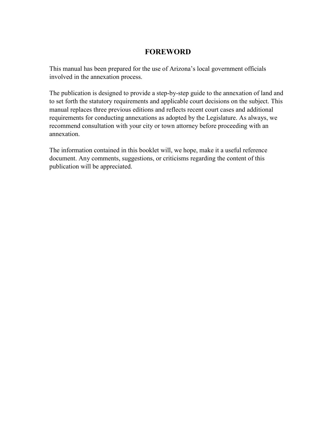## **FOREWORD**

This manual has been prepared for the use of Arizona's local government officials involved in the annexation process.

The publication is designed to provide a step-by-step guide to the annexation of land and to set forth the statutory requirements and applicable court decisions on the subject. This manual replaces three previous editions and reflects recent court cases and additional requirements for conducting annexations as adopted by the Legislature. As always, we recommend consultation with your city or town attorney before proceeding with an annexation.

The information contained in this booklet will, we hope, make it a useful reference document. Any comments, suggestions, or criticisms regarding the content of this publication will be appreciated.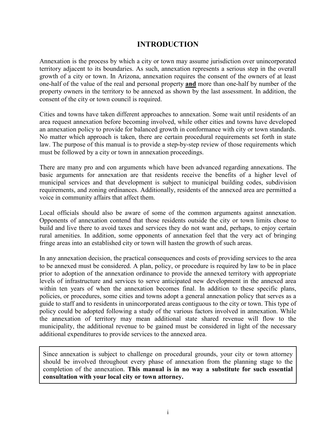## **INTRODUCTION**

Annexation is the process by which a city or town may assume jurisdiction over unincorporated territory adjacent to its boundaries. As such, annexation represents a serious step in the overall growth of a city or town. In Arizona, annexation requires the consent of the owners of at least one-half of the value of the real and personal property **and** more than one-half by number of the property owners in the territory to be annexed as shown by the last assessment. In addition, the consent of the city or town council is required.

Cities and towns have taken different approaches to annexation. Some wait until residents of an area request annexation before becoming involved, while other cities and towns have developed an annexation policy to provide for balanced growth in conformance with city or town standards. No matter which approach is taken, there are certain procedural requirements set forth in state law. The purpose of this manual is to provide a step-by-step review of those requirements which must be followed by a city or town in annexation proceedings.

There are many pro and con arguments which have been advanced regarding annexations. The basic arguments for annexation are that residents receive the benefits of a higher level of municipal services and that development is subject to municipal building codes, subdivision requirements, and zoning ordinances. Additionally, residents of the annexed area are permitted a voice in community affairs that affect them.

Local officials should also be aware of some of the common arguments against annexation. Opponents of annexation contend that those residents outside the city or town limits chose to build and live there to avoid taxes and services they do not want and, perhaps, to enjoy certain rural amenities. In addition, some opponents of annexation feel that the very act of bringing fringe areas into an established city or town will hasten the growth of such areas.

In any annexation decision, the practical consequences and costs of providing services to the area to be annexed must be considered. A plan, policy, or procedure is required by law to be in place prior to adoption of the annexation ordinance to provide the annexed territory with appropriate levels of infrastructure and services to serve anticipated new development in the annexed area within ten years of when the annexation becomes final. In addition to these specific plans, policies, or procedures, some cities and towns adopt a general annexation policy that serves as a guide to staff and to residents in unincorporated areas contiguous to the city or town. This type of policy could be adopted following a study of the various factors involved in annexation. While the annexation of territory may mean additional state shared revenue will flow to the municipality, the additional revenue to be gained must be considered in light of the necessary additional expenditures to provide services to the annexed area.

Since annexation is subject to challenge on procedural grounds, your city or town attorney should be involved throughout every phase of annexation from the planning stage to the completion of the annexation. **This manual is in no way a substitute for such essential consultation with your local city or town attorney.**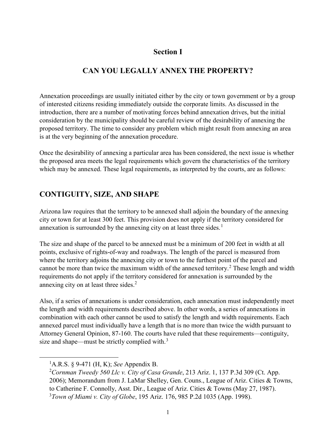## **Section I**

# **CAN YOU LEGALLY ANNEX THE PROPERTY?**

Annexation proceedings are usually initiated either by the city or town government or by a group of interested citizens residing immediately outside the corporate limits. As discussed in the introduction, there are a number of motivating forces behind annexation drives, but the initial consideration by the municipality should be careful review of the desirability of annexing the proposed territory. The time to consider any problem which might result from annexing an area is at the very beginning of the annexation procedure.

Once the desirability of annexing a particular area has been considered, the next issue is whether the proposed area meets the legal requirements which govern the characteristics of the territory which may be annexed. These legal requirements, as interpreted by the courts, are as follows:

## **CONTIGUITY, SIZE, AND SHAPE**

Arizona law requires that the territory to be annexed shall adjoin the boundary of the annexing city or town for at least 300 feet. This provision does not apply if the territory considered for annexation is surrounded by the annexing city on at least three sides.<sup>[1](#page-5-0)</sup>

The size and shape of the parcel to be annexed must be a minimum of 200 feet in width at all points, exclusive of rights-of-way and roadways. The length of the parcel is measured from where the territory adjoins the annexing city or town to the furthest point of the parcel and cannot be more than twice the maximum width of the annexed territory.<sup>[2](#page-5-1)</sup> These length and width requirements do not apply if the territory considered for annexation is surrounded by the annexing city on at least three sides.<sup>2</sup>

Also, if a series of annexations is under consideration, each annexation must independently meet the length and width requirements described above. In other words, a series of annexations in combination with each other cannot be used to satisfy the length and width requirements. Each annexed parcel must individually have a length that is no more than twice the width pursuant to Attorney General Opinion, 87-160. The courts have ruled that these requirements—contiguity, size and shape—must be strictly complied with. $3$ 

<span id="page-5-1"></span><span id="page-5-0"></span> $\overline{\phantom{0}}$ <sub>1</sub> A.R.S. § 9-471 (H, K); *See* Appendix B.

<span id="page-5-2"></span><sup>2</sup> *Cornman Tweedy 560 Llc v. City of Casa Grande*, 213 Ariz. 1, 137 P.3d 309 (Ct. App. 2006); Memorandum from J. LaMar Shelley, Gen. Couns., League of Ariz. Cities & Towns, to Catherine F. Connolly, Asst. Dir., League of Ariz. Cities & Towns (May 27, 1987). 3 *Town of Miami v. City of Globe*, 195 Ariz. 176, 985 P.2d 1035 (App. 1998).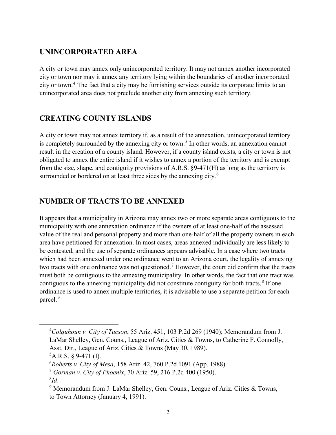### **UNINCORPORATED AREA**

A city or town may annex only unincorporated territory. It may not annex another incorporated city or town nor may it annex any territory lying within the boundaries of another incorporated city or town.[4](#page-6-0) The fact that a city may be furnishing services outside its corporate limits to an unincorporated area does not preclude another city from annexing such territory.

#### **CREATING COUNTY ISLANDS**

A city or town may not annex territory if, as a result of the annexation, unincorporated territory is completely surrounded by the annexing city or town.<sup>[5](#page-6-1)</sup> In other words, an annexation cannot result in the creation of a county island. However, if a county island exists, a city or town is not obligated to annex the entire island if it wishes to annex a portion of the territory and is exempt from the size, shape, and contiguity provisions of A.R.S. §9-471(H) as long as the territory is surrounded or bordered on at least three sides by the annexing city.<sup>[6](#page-6-2)</sup>

#### **NUMBER OF TRACTS TO BE ANNEXED**

It appears that a municipality in Arizona may annex two or more separate areas contiguous to the municipality with one annexation ordinance if the owners of at least one-half of the assessed value of the real and personal property and more than one-half of all the property owners in each area have petitioned for annexation. In most cases, areas annexed individually are less likely to be contested, and the use of separate ordinances appears advisable. In a case where two tracts which had been annexed under one ordinance went to an Arizona court, the legality of annexing two tracts with one ordinance was not questioned.<sup>[7](#page-6-3)</sup> However, the court did confirm that the tracts must both be contiguous to the annexing municipality. In other words, the fact that one tract was contiguous to the annexing municipality did not constitute contiguity for both tracts.<sup>[8](#page-6-4)</sup> If one ordinance is used to annex multiple territories, it is advisable to use a separate petition for each parcel.<sup>[9](#page-6-5)</sup>

<span id="page-6-0"></span> <sup>4</sup> *Colquhoun v. City of Tucson*, 55 Ariz. 451, 103 P.2d 269 (1940); Memorandum from J. LaMar Shelley, Gen. Couns., League of Ariz. Cities & Towns, to Catherine F. Connolly, Asst. Dir., League of Ariz. Cities & Towns (May 30, 1989).

<span id="page-6-1"></span> ${}^5$ A.R.S. § 9-471 (I).

<span id="page-6-2"></span><sup>6</sup> *Roberts v. City of Mesa*, 158 Ariz. 42, 760 P.2d 1091 (App. 1988).

<span id="page-6-3"></span><sup>7</sup> *Gorman v. City of Phoenix*, 70 Ariz. 59, 216 P.2d 400 (1950).

<sup>8</sup> *Id*.

<span id="page-6-5"></span><span id="page-6-4"></span><sup>&</sup>lt;sup>9</sup> Memorandum from J. LaMar Shelley, Gen. Couns., League of Ariz. Cities & Towns, to Town Attorney (January 4, 1991).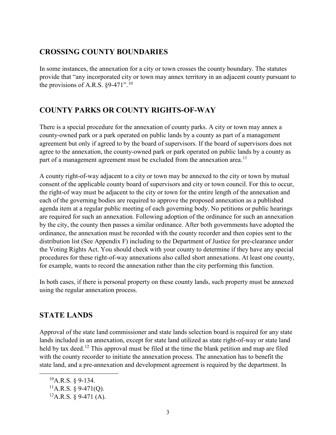## **CROSSING COUNTY BOUNDARIES**

In some instances, the annexation for a city or town crosses the county boundary. The statutes provide that "any incorporated city or town may annex territory in an adjacent county pursuant to the provisions of A.R.S.  $\S 9-471$ ".<sup>[10](#page-7-0)</sup>

# **COUNTY PARKS OR COUNTY RIGHTS-OF-WAY**

There is a special procedure for the annexation of county parks. A city or town may annex a county-owned park or a park operated on public lands by a county as part of a management agreement but only if agreed to by the board of supervisors. If the board of supervisors does not agree to the annexation, the county-owned park or park operated on public lands by a county as part of a management agreement must be excluded from the annexation area.<sup>[11](#page-7-1)</sup>

A county right-of-way adjacent to a city or town may be annexed to the city or town by mutual consent of the applicable county board of supervisors and city or town council. For this to occur, the right-of way must be adjacent to the city or town for the entire length of the annexation and each of the governing bodies are required to approve the proposed annexation as a published agenda item at a regular public meeting of each governing body. No petitions or public hearings are required for such an annexation. Following adoption of the ordinance for such an annexation by the city, the county then passes a similar ordinance. After both governments have adopted the ordinance, the annexation must be recorded with the county recorder and then copies sent to the distribution list (See Appendix F) including to the Department of Justice for pre-clearance under the Voting Rights Act. You should check with your county to determine if they have any special procedures for these right-of-way annexations also called short annexations. At least one county, for example, wants to record the annexation rather than the city performing this function.

In both cases, if there is personal property on these county lands, such property must be annexed using the regular annexation process.

# **STATE LANDS**

Approval of the state land commissioner and state lands selection board is required for any state lands included in an annexation, except for state land utilized as state right-of-way or state land held by tax deed.<sup>[12](#page-7-2)</sup> This approval must be filed at the time the blank petition and map are filed with the county recorder to initiate the annexation process. The annexation has to benefit the state land, and a pre-annexation and development agreement is required by the department. In

<span id="page-7-0"></span> $^{10}$ A.R.S. § 9-134.

<span id="page-7-1"></span> $^{11}$ A.R.S. § 9-471(Q).

<span id="page-7-2"></span> ${}^{12}$ A.R.S. § 9-471 (A).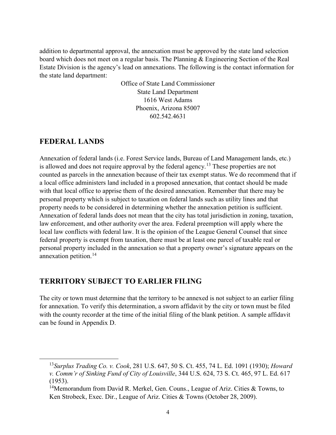addition to departmental approval, the annexation must be approved by the state land selection board which does not meet on a regular basis. The Planning & Engineering Section of the Real Estate Division is the agency's lead on annexations. The following is the contact information for the state land department:

> Office of State Land Commissioner State Land Department 1616 West Adams Phoenix, Arizona 85007 602.542.4631

#### **FEDERAL LANDS**

Annexation of federal lands (i.e. Forest Service lands, Bureau of Land Management lands, etc.) is allowed and does not require approval by the federal agency.<sup>[13](#page-8-0)</sup> These properties are not counted as parcels in the annexation because of their tax exempt status. We do recommend that if a local office administers land included in a proposed annexation, that contact should be made with that local office to apprise them of the desired annexation. Remember that there may be personal property which is subject to taxation on federal lands such as utility lines and that property needs to be considered in determining whether the annexation petition is sufficient. Annexation of federal lands does not mean that the city has total jurisdiction in zoning, taxation, law enforcement, and other authority over the area. Federal preemption will apply where the local law conflicts with federal law. It is the opinion of the League General Counsel that since federal property is exempt from taxation, there must be at least one parcel of taxable real or personal property included in the annexation so that a property owner's signature appears on the annexation petition.<sup>[14](#page-8-1)</sup>

## **TERRITORY SUBJECT TO EARLIER FILING**

The city or town must determine that the territory to be annexed is not subject to an earlier filing for annexation. To verify this determination, a sworn affidavit by the city or town must be filed with the county recorder at the time of the initial filing of the blank petition. A sample affidavit can be found in Appendix D.

<span id="page-8-0"></span> <sup>13</sup>*Surplus Trading Co. v. Cook*, 281 U.S. 647, 50 S. Ct. 455, 74 L. Ed. 1091 (1930); *Howard v. Comm'r of Sinking Fund of City of Louisville*, 344 U.S. 624, 73 S. Ct. 465, 97 L. Ed. 617 (1953).

<span id="page-8-1"></span><sup>&</sup>lt;sup>14</sup>Memorandum from David R. Merkel, Gen. Couns., League of Ariz. Cities & Towns, to Ken Strobeck, Exec. Dir., League of Ariz. Cities & Towns (October 28, 2009).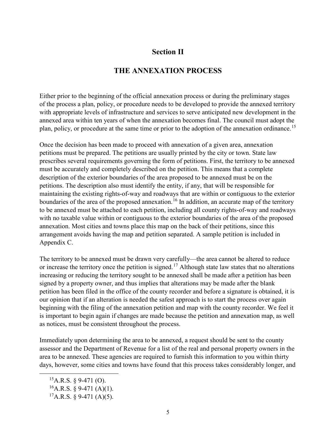#### **Section II**

#### **THE ANNEXATION PROCESS**

Either prior to the beginning of the official annexation process or during the preliminary stages of the process a plan, policy, or procedure needs to be developed to provide the annexed territory with appropriate levels of infrastructure and services to serve anticipated new development in the annexed area within ten years of when the annexation becomes final. The council must adopt the plan, policy, or procedure at the same time or prior to the adoption of the annexation ordinance.<sup>[15](#page-9-0)</sup>

Once the decision has been made to proceed with annexation of a given area, annexation petitions must be prepared. The petitions are usually printed by the city or town. State law prescribes several requirements governing the form of petitions. First, the territory to be annexed must be accurately and completely described on the petition. This means that a complete description of the exterior boundaries of the area proposed to be annexed must be on the petitions. The description also must identify the entity, if any, that will be responsible for maintaining the existing rights-of-way and roadways that are within or contiguous to the exterior boundaries of the area of the proposed annexation.<sup>[16](#page-9-1)</sup> In addition, an accurate map of the territory to be annexed must be attached to each petition, including all county rights-of-way and roadways with no taxable value within or contiguous to the exterior boundaries of the area of the proposed annexation. Most cities and towns place this map on the back of their petitions, since this arrangement avoids having the map and petition separated. A sample petition is included in Appendix C.

The territory to be annexed must be drawn very carefully—the area cannot be altered to reduce or increase the territory once the petition is signed.[17](#page-9-2) Although state law states that no alterations increasing or reducing the territory sought to be annexed shall be made after a petition has been signed by a property owner, and thus implies that alterations may be made after the blank petition has been filed in the office of the county recorder and before a signature is obtained, it is our opinion that if an alteration is needed the safest approach is to start the process over again beginning with the filing of the annexation petition and map with the county recorder. We feel it is important to begin again if changes are made because the petition and annexation map, as well as notices, must be consistent throughout the process.

Immediately upon determining the area to be annexed, a request should be sent to the county assessor and the Department of Revenue for a list of the real and personal property owners in the area to be annexed. These agencies are required to furnish this information to you within thirty days, however, some cities and towns have found that this process takes considerably longer, and

<span id="page-9-0"></span> ${}^{15}$ A.R.S. § 9-471 (O).

<span id="page-9-1"></span> $^{16}$ A.R.S. § 9-471 (A)(1).

<span id="page-9-2"></span> ${}^{17}A.R.S. \$ § 9-471 (A)(5).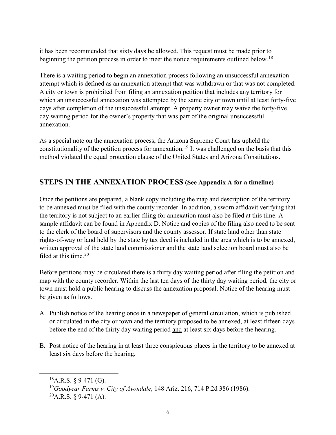it has been recommended that sixty days be allowed. This request must be made prior to beginning the petition process in order to meet the notice requirements outlined below.<sup>[18](#page-10-0)</sup>

There is a waiting period to begin an annexation process following an unsuccessful annexation attempt which is defined as an annexation attempt that was withdrawn or that was not completed. A city or town is prohibited from filing an annexation petition that includes any territory for which an unsuccessful annexation was attempted by the same city or town until at least forty-five days after completion of the unsuccessful attempt. A property owner may waive the forty-five day waiting period for the owner's property that was part of the original unsuccessful annexation.

As a special note on the annexation process, the Arizona Supreme Court has upheld the constitutionality of the petition process for annexation.<sup>[19](#page-10-1)</sup> It was challenged on the basis that this method violated the equal protection clause of the United States and Arizona Constitutions.

## **STEPS IN THE ANNEXATION PROCESS (See Appendix A for a timeline)**

Once the petitions are prepared, a blank copy including the map and description of the territory to be annexed must be filed with the county recorder. In addition, a sworn affidavit verifying that the territory is not subject to an earlier filing for annexation must also be filed at this time. A sample affidavit can be found in Appendix D. Notice and copies of the filing also need to be sent to the clerk of the board of supervisors and the county assessor. If state land other than state rights-of-way or land held by the state by tax deed is included in the area which is to be annexed, written approval of the state land commissioner and the state land selection board must also be filed at this time. $20$ 

Before petitions may be circulated there is a thirty day waiting period after filing the petition and map with the county recorder. Within the last ten days of the thirty day waiting period, the city or town must hold a public hearing to discuss the annexation proposal. Notice of the hearing must be given as follows.

- A. Publish notice of the hearing once in a newspaper of general circulation, which is published or circulated in the city or town and the territory proposed to be annexed, at least fifteen days before the end of the thirty day waiting period and at least six days before the hearing.
- B. Post notice of the hearing in at least three conspicuous places in the territory to be annexed at least six days before the hearing.

<span id="page-10-0"></span> $^{18}$ A.R.S. § 9-471 (G).

<span id="page-10-1"></span><sup>19</sup>*Goodyear Farms v. City of Avondale*, 148 Ariz. 216, 714 P.2d 386 (1986).

<span id="page-10-2"></span> $^{20}$ A.R.S. § 9-471 (A).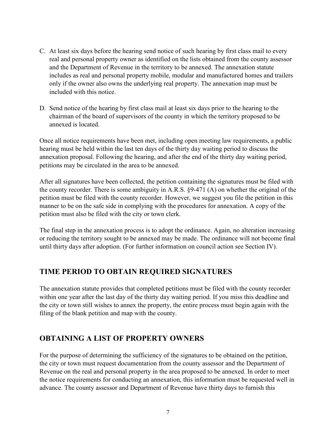- C. At least six days before the hearing send notice of such hearing by first class mail to every real and personal property owner as identified on the lists obtained from the county assessor and the Department of Revenue in the territory to be annexed. The annexation statute includes as real and personal property mobile, modular and manufactured homes and trailers only if the owner also owns the underlying real property. The annexation map must be included with this notice.
- D. Send notice of the hearing by first class mail at least six days prior to the hearing to the chairman of the board of supervisors of the county in which the territory proposed to be annexed is located.

Once all notice requirements have been met, including open meeting law requirements, a public hearing must be held within the last ten days of the thirty day waiting period to discuss the annexation proposal. Following the hearing, and after the end of the thirty day waiting period, petitions may be circulated in the area to be annexed.

After all signatures have been collected, the petition containing the signatures must be filed with the county recorder. There is some ambiguity in A.R.S. §9-471 (A) on whether the original of the petition must be filed with the county recorder. However, we suggest you file the petition in this manner to be on the safe side in complying with the procedures for annexation. A copy of the petition must also be filed with the city or town clerk.

The final step in the annexation process is to adopt the ordinance. Again, no alteration increasing or reducing the territory sought to be annexed may be made. The ordinance will not become final until thirty days after adoption. (For further information on council action see Section IV).

## **TIME PERIOD TO OBTAIN REQUIRED SIGNATURES**

The annexation statute provides that completed petitions must be filed with the county recorder within one year after the last day of the thirty day waiting period. If you miss this deadline and the city or town still wishes to annex the property, the entire process must begin again with the filing of the blank petition and map with the county.

# **OBTAINING A LIST OF PROPERTY OWNERS**

For the purpose of determining the sufficiency of the signatures to be obtained on the petition, the city or town must request documentation from the county assessor and the Department of Revenue on the real and personal property in the area proposed to be annexed. In order to meet the notice requirements for conducting an annexation, this information must be requested well in advance. The county assessor and Department of Revenue have thirty days to furnish this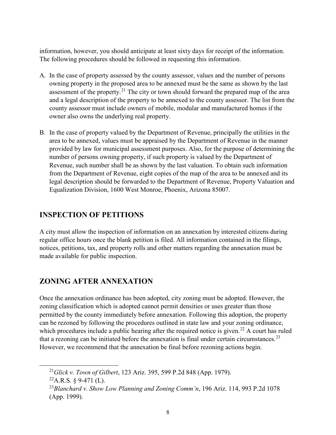information, however, you should anticipate at least sixty days for receipt of the information. The following procedures should be followed in requesting this information.

- A. In the case of property assessed by the county assessor, values and the number of persons owning property in the proposed area to be annexed must be the same as shown by the last assessment of the property.<sup>[21](#page-12-0)</sup> The city or town should forward the prepared map of the area and a legal description of the property to be annexed to the county assessor. The list from the county assessor must include owners of mobile, modular and manufactured homes if the owner also owns the underlying real property.
- B. In the case of property valued by the Department of Revenue, principally the utilities in the area to be annexed, values must be appraised by the Department of Revenue in the manner provided by law for municipal assessment purposes. Also, for the purpose of determining the number of persons owning property, if such property is valued by the Department of Revenue, such number shall be as shown by the last valuation. To obtain such information from the Department of Revenue, eight copies of the map of the area to be annexed and its legal description should be forwarded to the Department of Revenue, Property Valuation and Equalization Division, 1600 West Monroe, Phoenix, Arizona 85007.

## **INSPECTION OF PETITIONS**

A city must allow the inspection of information on an annexation by interested citizens during regular office hours once the blank petition is filed. All information contained in the filings, notices, petitions, tax, and property rolls and other matters regarding the annexation must be made available for public inspection.

# **ZONING AFTER ANNEXATION**

Once the annexation ordinance has been adopted, city zoning must be adopted. However, the zoning classification which is adopted cannot permit densities or uses greater than those permitted by the county immediately before annexation. Following this adoption, the property can be rezoned by following the procedures outlined in state law and your zoning ordinance, which procedures include a public hearing after the required notice is given.<sup>[22](#page-12-1)</sup> A court has ruled that a rezoning can be initiated before the annexation is final under certain circumstances.<sup>[23](#page-12-2)</sup> However, we recommend that the annexation be final before rezoning actions begin.

<span id="page-12-0"></span> <sup>21</sup>*Glick v. Town of Gilbert*, 123 Ariz. 395, 599 P.2d 848 (App. 1979).

<span id="page-12-1"></span> $^{22}$ A.R.S. § 9-471 (L).

<span id="page-12-2"></span><sup>23</sup>*Blanchard v. Show Low Planning and Zoning Comm'n*, 196 Ariz. 114, 993 P.2d 1078 (App. 1999).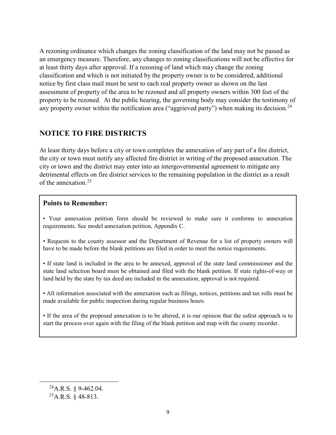A rezoning ordinance which changes the zoning classification of the land may not be passed as an emergency measure. Therefore, any changes to zoning classifications will not be effective for at least thirty days after approval. If a rezoning of land which may change the zoning classification and which is not initiated by the property owner is to be considered, additional notice by first class mail must be sent to each real property owner as shown on the last assessment of property of the area to be rezoned and all property owners within 300 feet of the property to be rezoned. At the public hearing, the governing body may consider the testimony of any property owner within the notification area ("aggrieved party") when making its decision.<sup>[24](#page-13-0)</sup>

## **NOTICE TO FIRE DISTRICTS**

At least thirty days before a city or town completes the annexation of any part of a fire district, the city or town must notify any affected fire district in writing of the proposed annexation. The city or town and the district may enter into an intergovernmental agreement to mitigate any detrimental effects on fire district services to the remaining population in the district as a result of the annexation.[25](#page-13-1)

#### **Points to Remember:**

• Your annexation petition form should be reviewed to make sure it conforms to annexation requirements. See model annexation petition, Appendix C.

• Requests to the county assessor and the Department of Revenue for a list of property owners will have to be made before the blank petitions are filed in order to meet the notice requirements.

• If state land is included in the area to be annexed, approval of the state land commissioner and the state land selection board must be obtained and filed with the blank petition. If state rights-of-way or land held by the state by tax deed are included in the annexation, approval is not required.

• All information associated with the annexation such as filings, notices, petitions and tax rolls must be made available for public inspection during regular business hours.

• If the area of the proposed annexation is to be altered, it is our opinion that the safest approach is to start the process over again with the filing of the blank petition and map with the county recorder.

<span id="page-13-0"></span> $^{24}$ A.R.S. § 9-462.04.

<span id="page-13-1"></span> $^{25}$ A.R.S. § 48-813.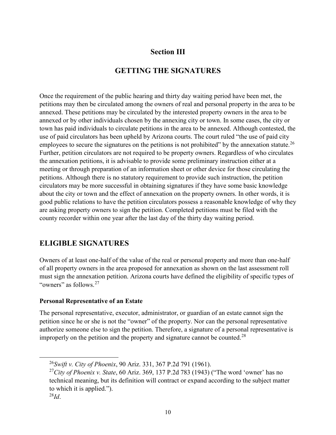## **Section III**

# **GETTING THE SIGNATURES**

Once the requirement of the public hearing and thirty day waiting period have been met, the petitions may then be circulated among the owners of real and personal property in the area to be annexed. These petitions may be circulated by the interested property owners in the area to be annexed or by other individuals chosen by the annexing city or town. In some cases, the city or town has paid individuals to circulate petitions in the area to be annexed. Although contested, the use of paid circulators has been upheld by Arizona courts. The court ruled "the use of paid city employees to secure the signatures on the petitions is not prohibited" by the annexation statute.<sup>[26](#page-14-0)</sup> Further, petition circulators are not required to be property owners. Regardless of who circulates the annexation petitions, it is advisable to provide some preliminary instruction either at a meeting or through preparation of an information sheet or other device for those circulating the petitions. Although there is no statutory requirement to provide such instruction, the petition circulators may be more successful in obtaining signatures if they have some basic knowledge about the city or town and the effect of annexation on the property owners. In other words, it is good public relations to have the petition circulators possess a reasonable knowledge of why they are asking property owners to sign the petition. Completed petitions must be filed with the county recorder within one year after the last day of the thirty day waiting period.

# **ELIGIBLE SIGNATURES**

Owners of at least one-half of the value of the real or personal property and more than one-half of all property owners in the area proposed for annexation as shown on the last assessment roll must sign the annexation petition. Arizona courts have defined the eligibility of specific types of "owners" as follows.<sup>[27](#page-14-1)</sup>

#### **Personal Representative of an Estate**

The personal representative, executor, administrator, or guardian of an estate cannot sign the petition since he or she is not the "owner" of the property. Nor can the personal representative authorize someone else to sign the petition. Therefore, a signature of a personal representative is improperly on the petition and the property and signature cannot be counted.<sup>[28](#page-14-2)</sup>

<span id="page-14-0"></span> <sup>26</sup>*Swift v. City of Phoenix*, 90 Ariz. 331, 367 P.2d 791 (1961).

<span id="page-14-1"></span><sup>27</sup>*City of Phoenix v. State*, 60 Ariz. 369, 137 P.2d 783 (1943) ("The word 'owner' has no technical meaning, but its definition will contract or expand according to the subject matter to which it is applied.").

<span id="page-14-2"></span><sup>28</sup>*Id*.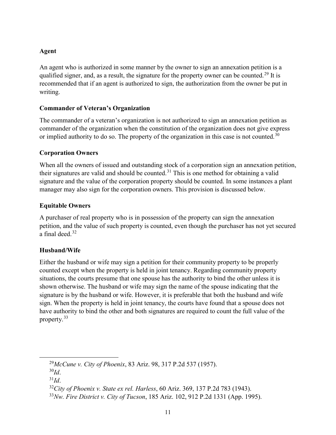#### **Agent**

An agent who is authorized in some manner by the owner to sign an annexation petition is a qualified signer, and, as a result, the signature for the property owner can be counted.<sup>[29](#page-15-0)</sup> It is recommended that if an agent is authorized to sign, the authorization from the owner be put in writing.

#### **Commander of Veteran's Organization**

The commander of a veteran's organization is not authorized to sign an annexation petition as commander of the organization when the constitution of the organization does not give express or implied authority to do so. The property of the organization in this case is not counted.<sup>[30](#page-15-1)</sup>

#### **Corporation Owners**

When all the owners of issued and outstanding stock of a corporation sign an annexation petition, their signatures are valid and should be counted.<sup>[31](#page-15-2)</sup> This is one method for obtaining a valid signature and the value of the corporation property should be counted. In some instances a plant manager may also sign for the corporation owners. This provision is discussed below.

#### **Equitable Owners**

A purchaser of real property who is in possession of the property can sign the annexation petition, and the value of such property is counted, even though the purchaser has not yet secured a final deed.[32](#page-15-3)

#### **Husband/Wife**

Either the husband or wife may sign a petition for their community property to be properly counted except when the property is held in joint tenancy. Regarding community property situations, the courts presume that one spouse has the authority to bind the other unless it is shown otherwise. The husband or wife may sign the name of the spouse indicating that the signature is by the husband or wife. However, it is preferable that both the husband and wife sign. When the property is held in joint tenancy, the courts have found that a spouse does not have authority to bind the other and both signatures are required to count the full value of the property.[33](#page-15-4)

<span id="page-15-0"></span> <sup>29</sup>*McCune v. City of Phoenix*, 83 Ariz. 98, 317 P.2d 537 (1957).

<span id="page-15-1"></span><sup>30</sup>*Id*.

<span id="page-15-2"></span><sup>31</sup>*Id*.

<span id="page-15-3"></span><sup>32</sup>*City of Phoenix v. State ex rel. Harless*, 60 Ariz. 369, 137 P.2d 783 (1943).

<span id="page-15-4"></span><sup>33</sup>*Nw. Fire District v. City of Tucson*, 185 Ariz. 102, 912 P.2d 1331 (App. 1995).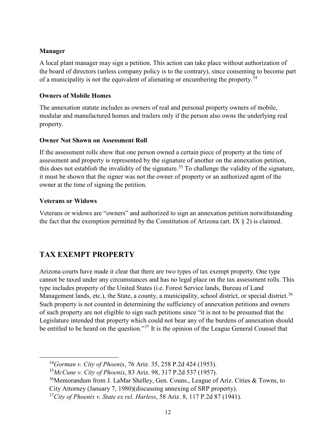#### **Manager**

A local plant manager may sign a petition. This action can take place without authorization of the board of directors (unless company policy is to the contrary), since consenting to become part of a municipality is not the equivalent of alienating or encumbering the property.<sup>[34](#page-16-0)</sup>

#### **Owners of Mobile Homes**

The annexation statute includes as owners of real and personal property owners of mobile, modular and manufactured homes and trailers only if the person also owns the underlying real property.

#### **Owner Not Shown on Assessment Roll**

If the assessment rolls show that one person owned a certain piece of property at the time of assessment and property is represented by the signature of another on the annexation petition, this does not establish the invalidity of the signature.<sup>[35](#page-16-1)</sup> To challenge the validity of the signature, it must be shown that the signer was not the owner of property or an authorized agent of the owner at the time of signing the petition.

#### **Veterans or Widows**

Veterans or widows are "owners" and authorized to sign an annexation petition notwithstanding the fact that the exemption permitted by the Constitution of Arizona (art. IX  $\S$  2) is claimed.

# **TAX EXEMPT PROPERTY**

Arizona courts have made it clear that there are two types of tax exempt property. One type cannot be taxed under any circumstances and has no legal place on the tax assessment rolls. This type includes property of the United States (i.e. Forest Service lands, Bureau of Land Management lands, etc.), the State, a county, a municipality, school district, or special district.<sup>[36](#page-16-2)</sup> Such property is not counted in determining the sufficiency of annexation petitions and owners of such property are not eligible to sign such petitions since "it is not to be presumed that the Legislature intended that property which could not bear any of the burdens of annexation should be entitled to be heard on the question."<sup>[37](#page-16-3)</sup> It is the opinion of the League General Counsel that

<span id="page-16-0"></span> <sup>34</sup>*Gorman v. City of Phoenix*, 76 Ariz. 35, 258 P.2d 424 (1953).

<span id="page-16-1"></span><sup>35</sup>*McCune v. City of Phoenix*, 83 Ariz. 98, 317 P.2d 537 (1957).

<span id="page-16-2"></span> $36$ Memorandum from J. LaMar Shelley, Gen. Couns., League of Ariz. Cities & Towns, to City Attorney (January 7, 1980)(discussing annexing of SRP property).

<span id="page-16-3"></span><sup>37</sup>*City of Phoenix v. State ex rel. Harless*, 58 Ariz. 8, 117 P.2d 87 (1941).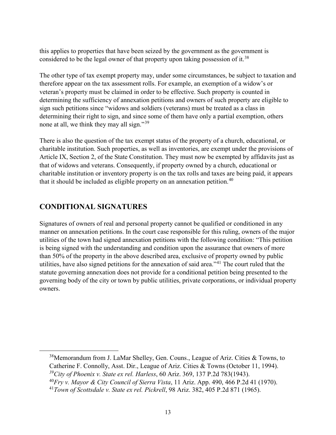this applies to properties that have been seized by the government as the government is considered to be the legal owner of that property upon taking possession of it.<sup>[38](#page-17-0)</sup>

The other type of tax exempt property may, under some circumstances, be subject to taxation and therefore appear on the tax assessment rolls. For example, an exemption of a widow's or veteran's property must be claimed in order to be effective. Such property is counted in determining the sufficiency of annexation petitions and owners of such property are eligible to sign such petitions since "widows and soldiers (veterans) must be treated as a class in determining their right to sign, and since some of them have only a partial exemption, others none at all, we think they may all sign."<sup>[39](#page-17-1)</sup>

There is also the question of the tax exempt status of the property of a church, educational, or charitable institution. Such properties, as well as inventories, are exempt under the provisions of Article IX, Section 2, of the State Constitution. They must now be exempted by affidavits just as that of widows and veterans. Consequently, if property owned by a church, educational or charitable institution or inventory property is on the tax rolls and taxes are being paid, it appears that it should be included as eligible property on an annexation petition.<sup>[40](#page-17-2)</sup>

# **CONDITIONAL SIGNATURES**

Signatures of owners of real and personal property cannot be qualified or conditioned in any manner on annexation petitions. In the court case responsible for this ruling, owners of the major utilities of the town had signed annexation petitions with the following condition: "This petition is being signed with the understanding and condition upon the assurance that owners of more than 50% of the property in the above described area, exclusive of property owned by public utilities, have also signed petitions for the annexation of said area."[41](#page-17-3) The court ruled that the statute governing annexation does not provide for a conditional petition being presented to the governing body of the city or town by public utilities, private corporations, or individual property owners.

<span id="page-17-0"></span> 38Memorandum from J. LaMar Shelley, Gen. Couns., League of Ariz. Cities & Towns, to Catherine F. Connolly, Asst. Dir., League of Ariz. Cities & Towns (October 11, 1994).

<span id="page-17-1"></span>*<sup>39</sup>City of Phoenix v. State ex rel. Harless*, 60 Ariz. 369, 137 P.2d 783(1943).

<span id="page-17-2"></span><sup>40</sup>*Fry v. Mayor & City Council of Sierra Vista*, 11 Ariz. App. 490, 466 P.2d 41 (1970).

<span id="page-17-3"></span><sup>41</sup>*Town of Scottsdale v. State ex rel. Pickrell*, 98 Ariz. 382, 405 P.2d 871 (1965).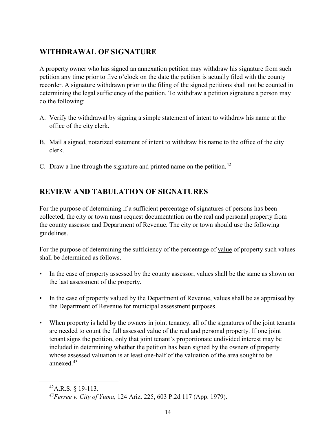# **WITHDRAWAL OF SIGNATURE**

A property owner who has signed an annexation petition may withdraw his signature from such petition any time prior to five o'clock on the date the petition is actually filed with the county recorder. A signature withdrawn prior to the filing of the signed petitions shall not be counted in determining the legal sufficiency of the petition. To withdraw a petition signature a person may do the following:

- A. Verify the withdrawal by signing a simple statement of intent to withdraw his name at the office of the city clerk.
- B. Mail a signed, notarized statement of intent to withdraw his name to the office of the city clerk.
- C. Draw a line through the signature and printed name on the petition.<sup>[42](#page-18-0)</sup>

# **REVIEW AND TABULATION OF SIGNATURES**

For the purpose of determining if a sufficient percentage of signatures of persons has been collected, the city or town must request documentation on the real and personal property from the county assessor and Department of Revenue. The city or town should use the following guidelines.

For the purpose of determining the sufficiency of the percentage of value of property such values shall be determined as follows.

- In the case of property assessed by the county assessor, values shall be the same as shown on the last assessment of the property.
- In the case of property valued by the Department of Revenue, values shall be as appraised by the Department of Revenue for municipal assessment purposes.
- When property is held by the owners in joint tenancy, all of the signatures of the joint tenants are needed to count the full assessed value of the real and personal property. If one joint tenant signs the petition, only that joint tenant's proportionate undivided interest may be included in determining whether the petition has been signed by the owners of property whose assessed valuation is at least one-half of the valuation of the area sought to be annexed.<sup>[43](#page-18-1)</sup>

<span id="page-18-0"></span> $^{42}$ A.R.S. § 19-113.

<span id="page-18-1"></span>*<sup>43</sup>Ferree v. City of Yuma*, 124 Ariz. 225, 603 P.2d 117 (App. 1979).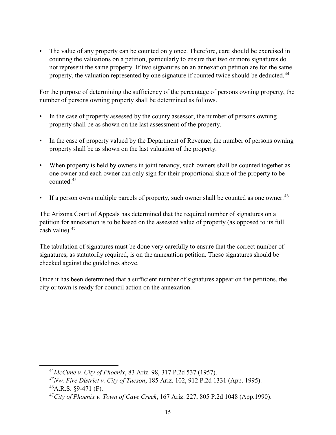The value of any property can be counted only once. Therefore, care should be exercised in counting the valuations on a petition, particularly to ensure that two or more signatures do not represent the same property. If two signatures on an annexation petition are for the same property, the valuation represented by one signature if counted twice should be deducted.<sup>[44](#page-19-0)</sup>

For the purpose of determining the sufficiency of the percentage of persons owning property, the number of persons owning property shall be determined as follows.

- In the case of property assessed by the county assessor, the number of persons owning property shall be as shown on the last assessment of the property.
- In the case of property valued by the Department of Revenue, the number of persons owning property shall be as shown on the last valuation of the property.
- When property is held by owners in joint tenancy, such owners shall be counted together as one owner and each owner can only sign for their proportional share of the property to be counted.[45](#page-19-1)
- If a person owns multiple parcels of property, such owner shall be counted as one owner.  $46$

The Arizona Court of Appeals has determined that the required number of signatures on a petition for annexation is to be based on the assessed value of property (as opposed to its full cash value). $47$ 

The tabulation of signatures must be done very carefully to ensure that the correct number of signatures, as statutorily required, is on the annexation petition. These signatures should be checked against the guidelines above.

Once it has been determined that a sufficient number of signatures appear on the petitions, the city or town is ready for council action on the annexation.

<span id="page-19-0"></span> <sup>44</sup>*McCune v. City of Phoenix*, 83 Ariz. 98, 317 P.2d 537 (1957).

<span id="page-19-2"></span><span id="page-19-1"></span>*<sup>45</sup>Nw. Fire District v. City of Tucson*, 185 Ariz. 102, 912 P.2d 1331 (App. 1995).  $^{46}$ A.R.S. §9-471 (F).

<span id="page-19-3"></span><sup>47</sup>*City of Phoenix v. Town of Cave Creek*, 167 Ariz. 227, 805 P.2d 1048 (App.1990).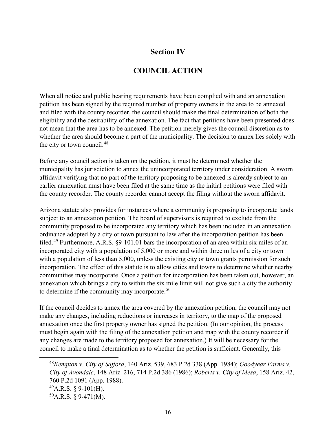## **Section IV**

# **COUNCIL ACTION**

When all notice and public hearing requirements have been complied with and an annexation petition has been signed by the required number of property owners in the area to be annexed and filed with the county recorder, the council should make the final determination of both the eligibility and the desirability of the annexation. The fact that petitions have been presented does not mean that the area has to be annexed. The petition merely gives the council discretion as to whether the area should become a part of the municipality. The decision to annex lies solely with the city or town council. $48$ 

Before any council action is taken on the petition, it must be determined whether the municipality has jurisdiction to annex the unincorporated territory under consideration. A sworn affidavit verifying that no part of the territory proposing to be annexed is already subject to an earlier annexation must have been filed at the same time as the initial petitions were filed with the county recorder. The county recorder cannot accept the filing without the sworn affidavit.

Arizona statute also provides for instances where a community is proposing to incorporate lands subject to an annexation petition. The board of supervisors is required to exclude from the community proposed to be incorporated any territory which has been included in an annexation ordinance adopted by a city or town pursuant to law after the incorporation petition has been filed.[49](#page-20-1) Furthermore, A.R.S. §9-101.01 bars the incorporation of an area within six miles of an incorporated city with a population of 5,000 or more and within three miles of a city or town with a population of less than 5,000, unless the existing city or town grants permission for such incorporation. The effect of this statute is to allow cities and towns to determine whether nearby communities may incorporate. Once a petition for incorporation has been taken out, however, an annexation which brings a city to within the six mile limit will not give such a city the authority to determine if the community may incorporate.<sup>[50](#page-20-2)</sup>

If the council decides to annex the area covered by the annexation petition, the council may not make any changes, including reductions or increases in territory, to the map of the proposed annexation once the first property owner has signed the petition. (In our opinion, the process must begin again with the filing of the annexation petition and map with the county recorder if any changes are made to the territory proposed for annexation.) It will be necessary for the council to make a final determination as to whether the petition is sufficient. Generally, this

<span id="page-20-2"></span><span id="page-20-1"></span><span id="page-20-0"></span> 48*Kempton v. City of Safford*, 140 Ariz. 539, 683 P.2d 338 (App. 1984); *Goodyear Farms v. City of Avondale*, 148 Ariz. 216, 714 P.2d 386 (1986); *Roberts v. City of Mesa*, 158 Ariz. 42, 760 P.2d 1091 (App. 1988).  $^{49}$ A.R.S. § 9-101(H).  $50A.R.S. \S$  9-471(M).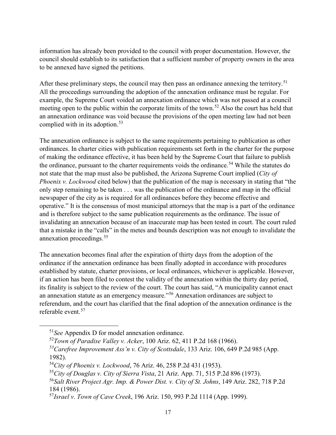information has already been provided to the council with proper documentation. However, the council should establish to its satisfaction that a sufficient number of property owners in the area to be annexed have signed the petitions.

After these preliminary steps, the council may then pass an ordinance annexing the territory.<sup>[51](#page-21-0)</sup> All the proceedings surrounding the adoption of the annexation ordinance must be regular. For example, the Supreme Court voided an annexation ordinance which was not passed at a council meeting open to the public within the corporate limits of the town.<sup>[52](#page-21-1)</sup> Also the court has held that an annexation ordinance was void because the provisions of the open meeting law had not been complied with in its adoption.<sup>[53](#page-21-2)</sup>

The annexation ordinance is subject to the same requirements pertaining to publication as other ordinances. In charter cities with publication requirements set forth in the charter for the purpose of making the ordinance effective, it has been held by the Supreme Court that failure to publish the ordinance, pursuant to the charter requirements voids the ordinance.<sup>[54](#page-21-3)</sup> While the statutes do not state that the map must also be published, the Arizona Supreme Court implied (*City of Phoenix v. Lockwood* cited below) that the publication of the map is necessary in stating that "the only step remaining to be taken . . . was the publication of the ordinance and map in the official newspaper of the city as is required for all ordinances before they become effective and operative." It is the consensus of most municipal attorneys that the map is a part of the ordinance and is therefore subject to the same publication requirements as the ordinance. The issue of invalidating an annexation because of an inaccurate map has been tested in court. The court ruled that a mistake in the "calls" in the metes and bounds description was not enough to invalidate the annexation proceedings.<sup>[55](#page-21-4)</sup>

The annexation becomes final after the expiration of thirty days from the adoption of the ordinance if the annexation ordinance has been finally adopted in accordance with procedures established by statute, charter provisions, or local ordinances, whichever is applicable. However, if an action has been filed to contest the validity of the annexation within the thirty day period, its finality is subject to the review of the court. The court has said, "A municipality cannot enact an annexation statute as an emergency measure."[56](#page-21-5) Annexation ordinances are subject to referendum, and the court has clarified that the final adoption of the annexation ordinance is the referable event.[57](#page-21-6)

<span id="page-21-0"></span> <sup>51</sup>*See* Appendix D for model annexation ordinance.

<span id="page-21-1"></span><sup>52</sup>*Town of Paradise Valley v. Acker*, 100 Ariz. 62, 411 P.2d 168 (1966).

<span id="page-21-2"></span>*<sup>53</sup>Carefree Improvement Ass'n v. City of Scottsdale*, 133 Ariz. 106, 649 P.2d 985 (App. 1982).

<span id="page-21-3"></span><sup>54</sup>*City of Phoenix v. Lockwood*, 76 Ariz. 46, 258 P.2d 431 (1953).

<span id="page-21-4"></span><sup>55</sup>*City of Douglas v. City of Sierra Vista*, 21 Ariz. App. 71, 515 P.2d 896 (1973).

<span id="page-21-5"></span><sup>56</sup>*Salt River Project Agr. Imp. & Power Dist. v. City of St. Johns*, 149 Ariz. 282, 718 P.2d 184 (1986).

<span id="page-21-6"></span><sup>57</sup>*Israel v. Town of Cave Creek*, 196 Ariz. 150, 993 P.2d 1114 (App. 1999).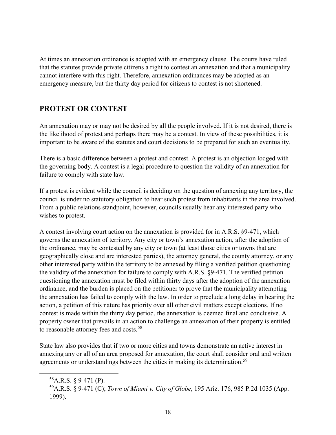At times an annexation ordinance is adopted with an emergency clause. The courts have ruled that the statutes provide private citizens a right to contest an annexation and that a municipality cannot interfere with this right. Therefore, annexation ordinances may be adopted as an emergency measure, but the thirty day period for citizens to contest is not shortened.

## **PROTEST OR CONTEST**

An annexation may or may not be desired by all the people involved. If it is not desired, there is the likelihood of protest and perhaps there may be a contest. In view of these possibilities, it is important to be aware of the statutes and court decisions to be prepared for such an eventuality.

There is a basic difference between a protest and contest. A protest is an objection lodged with the governing body. A contest is a legal procedure to question the validity of an annexation for failure to comply with state law.

If a protest is evident while the council is deciding on the question of annexing any territory, the council is under no statutory obligation to hear such protest from inhabitants in the area involved. From a public relations standpoint, however, councils usually hear any interested party who wishes to protest.

A contest involving court action on the annexation is provided for in A.R.S. §9-471, which governs the annexation of territory. Any city or town's annexation action, after the adoption of the ordinance, may be contested by any city or town (at least those cities or towns that are geographically close and are interested parties), the attorney general, the county attorney, or any other interested party within the territory to be annexed by filing a verified petition questioning the validity of the annexation for failure to comply with A.R.S. §9-471. The verified petition questioning the annexation must be filed within thirty days after the adoption of the annexation ordinance, and the burden is placed on the petitioner to prove that the municipality attempting the annexation has failed to comply with the law. In order to preclude a long delay in hearing the action, a petition of this nature has priority over all other civil matters except elections. If no contest is made within the thirty day period, the annexation is deemed final and conclusive. A property owner that prevails in an action to challenge an annexation of their property is entitled to reasonable attorney fees and costs.<sup>[58](#page-22-0)</sup>

State law also provides that if two or more cities and towns demonstrate an active interest in annexing any or all of an area proposed for annexation, the court shall consider oral and written agreements or understandings between the cities in making its determination.<sup>[59](#page-22-1)</sup>

<span id="page-22-0"></span> $58$ A.R.S. § 9-471 (P).

<span id="page-22-1"></span><sup>59</sup>A.R.S. § 9-471 (C); *Town of Miami v. City of Globe*, 195 Ariz. 176, 985 P.2d 1035 (App. 1999).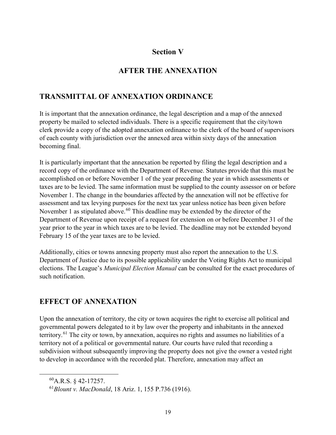#### **Section V**

## **AFTER THE ANNEXATION**

### **TRANSMITTAL OF ANNEXATION ORDINANCE**

It is important that the annexation ordinance, the legal description and a map of the annexed property be mailed to selected individuals. There is a specific requirement that the city/town clerk provide a copy of the adopted annexation ordinance to the clerk of the board of supervisors of each county with jurisdiction over the annexed area within sixty days of the annexation becoming final.

It is particularly important that the annexation be reported by filing the legal description and a record copy of the ordinance with the Department of Revenue. Statutes provide that this must be accomplished on or before November 1 of the year preceding the year in which assessments or taxes are to be levied. The same information must be supplied to the county assessor on or before November 1. The change in the boundaries affected by the annexation will not be effective for assessment and tax levying purposes for the next tax year unless notice has been given before November 1 as stipulated above.<sup>[60](#page-23-0)</sup> This deadline may be extended by the director of the Department of Revenue upon receipt of a request for extension on or before December 31 of the year prior to the year in which taxes are to be levied. The deadline may not be extended beyond February 15 of the year taxes are to be levied.

Additionally, cities or towns annexing property must also report the annexation to the U.S. Department of Justice due to its possible applicability under the Voting Rights Act to municipal elections. The League's *Municipal Election Manual* can be consulted for the exact procedures of such notification.

## **EFFECT OF ANNEXATION**

Upon the annexation of territory, the city or town acquires the right to exercise all political and governmental powers delegated to it by law over the property and inhabitants in the annexed territory.<sup>[61](#page-23-1)</sup> The city or town, by annexation, acquires no rights and assumes no liabilities of a territory not of a political or governmental nature. Our courts have ruled that recording a subdivision without subsequently improving the property does not give the owner a vested right to develop in accordance with the recorded plat. Therefore, annexation may affect an

<span id="page-23-0"></span> $^{60}$ A.R.S. § 42-17257.

<span id="page-23-1"></span><sup>61</sup>*Blount v. MacDonald*, 18 Ariz. 1, 155 P.736 (1916).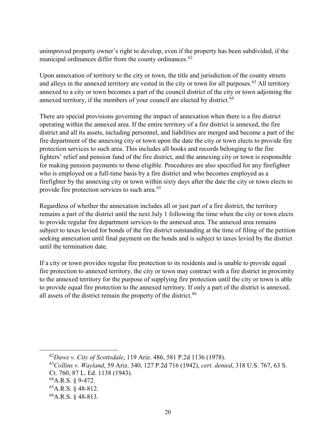unimproved property owner's right to develop, even if the property has been subdivided, if the municipal ordinances differ from the county ordinances.<sup>[62](#page-24-0)</sup>

Upon annexation of territory to the city or town, the title and jurisdiction of the county streets and alleys in the annexed territory are vested in the city or town for all purposes.<sup>[63](#page-24-1)</sup> All territory annexed to a city or town becomes a part of the council district of the city or town adjoining the annexed territory, if the members of your council are elected by district.<sup>[64](#page-24-2)</sup>

There are special provisions governing the impact of annexation when there is a fire district operating within the annexed area. If the entire territory of a fire district is annexed, the fire district and all its assets, including personnel, and liabilities are merged and become a part of the fire department of the annexing city or town upon the date the city or town elects to provide fire protection services to such area. This includes all books and records belonging to the fire fighters' relief and pension fund of the fire district, and the annexing city or town is responsible for making pension payments to those eligible. Procedures are also specified for any firefighter who is employed on a full-time basis by a fire district and who becomes employed as a firefighter by the annexing city or town within sixty days after the date the city or town elects to provide fire protection services to such area.<sup>[65](#page-24-3)</sup>

Regardless of whether the annexation includes all or just part of a fire district, the territory remains a part of the district until the next July 1 following the time when the city or town elects to provide regular fire department services to the annexed area. The annexed area remains subject to taxes levied for bonds of the fire district outstanding at the time of filing of the petition seeking annexation until final payment on the bonds and is subject to taxes levied by the district until the termination date.

If a city or town provides regular fire protection to its residents and is unable to provide equal fire protection to annexed territory, the city or town may contract with a fire district in proximity to the annexed territory for the purpose of supplying fire protection until the city or town is able to provide equal fire protection to the annexed territory. If only a part of the district is annexed, all assets of the district remain the property of the district.<sup>[66](#page-24-4)</sup>

<span id="page-24-0"></span> <sup>62</sup>*Dawe v. City of Scottsdale*, 119 Ariz. 486, 581 P.2d 1136 (1978).

<span id="page-24-1"></span><sup>63</sup>*Collins v. Wayland*, 59 Ariz. 340, 127 P.2d 716 (1942), *cert. denied*, 318 U.S. 767, 63 S. Ct. 760, 87 L. Ed. 1138 (1943).

<span id="page-24-2"></span> $^{64}$ A.R.S. § 9-472.

<span id="page-24-3"></span> ${}^{65}$ A.R.S. § 48-812.

<span id="page-24-4"></span> $^{66}$ A.R.S. § 48-813.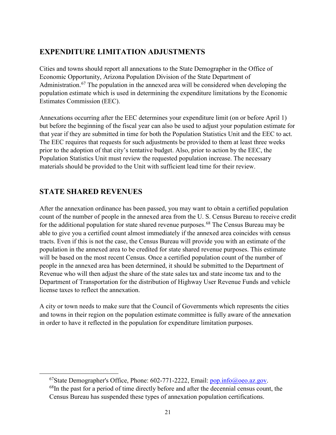# **EXPENDITURE LIMITATION ADJUSTMENTS**

Cities and towns should report all annexations to the State Demographer in the Office of Economic Opportunity, Arizona Population Division of the State Department of Administration.<sup>[67](#page-25-0)</sup> The population in the annexed area will be considered when developing the population estimate which is used in determining the expenditure limitations by the Economic Estimates Commission (EEC).

Annexations occurring after the EEC determines your expenditure limit (on or before April 1) but before the beginning of the fiscal year can also be used to adjust your population estimate for that year if they are submitted in time for both the Population Statistics Unit and the EEC to act. The EEC requires that requests for such adjustments be provided to them at least three weeks prior to the adoption of that city's tentative budget. Also, prior to action by the EEC, the Population Statistics Unit must review the requested population increase. The necessary materials should be provided to the Unit with sufficient lead time for their review.

# **STATE SHARED REVENUES**

After the annexation ordinance has been passed, you may want to obtain a certified population count of the number of people in the annexed area from the U. S. Census Bureau to receive credit for the additional population for state shared revenue purposes.<sup>[68](#page-25-1)</sup> The Census Bureau may be able to give you a certified count almost immediately if the annexed area coincides with census tracts. Even if this is not the case, the Census Bureau will provide you with an estimate of the population in the annexed area to be credited for state shared revenue purposes. This estimate will be based on the most recent Census. Once a certified population count of the number of people in the annexed area has been determined, it should be submitted to the Department of Revenue who will then adjust the share of the state sales tax and state income tax and to the Department of Transportation for the distribution of Highway User Revenue Funds and vehicle license taxes to reflect the annexation.

A city or town needs to make sure that the Council of Governments which represents the cities and towns in their region on the population estimate committee is fully aware of the annexation in order to have it reflected in the population for expenditure limitation purposes.

<sup>&</sup>lt;sup>67</sup>State Demographer's Office, Phone: 602-771-2222, Email:  $pop.info@oeo.az.gov$ .

<span id="page-25-1"></span><span id="page-25-0"></span> $^{68}$ In the past for a period of time directly before and after the decennial census count, the Census Bureau has suspended these types of annexation population certifications.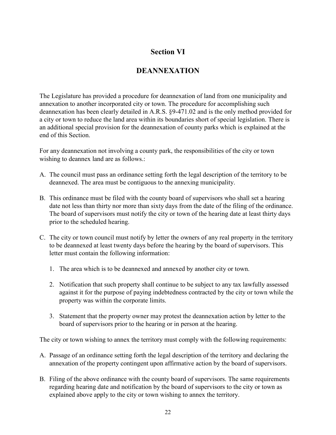# **Section VI**

# **DEANNEXATION**

The Legislature has provided a procedure for deannexation of land from one municipality and annexation to another incorporated city or town. The procedure for accomplishing such deannexation has been clearly detailed in A.R.S. §9-471.02 and is the only method provided for a city or town to reduce the land area within its boundaries short of special legislation. There is an additional special provision for the deannexation of county parks which is explained at the end of this Section.

For any deannexation not involving a county park, the responsibilities of the city or town wishing to deannex land are as follows.:

- A. The council must pass an ordinance setting forth the legal description of the territory to be deannexed. The area must be contiguous to the annexing municipality.
- B. This ordinance must be filed with the county board of supervisors who shall set a hearing date not less than thirty nor more than sixty days from the date of the filing of the ordinance. The board of supervisors must notify the city or town of the hearing date at least thirty days prior to the scheduled hearing.
- C. The city or town council must notify by letter the owners of any real property in the territory to be deannexed at least twenty days before the hearing by the board of supervisors. This letter must contain the following information:
	- 1. The area which is to be deannexed and annexed by another city or town.
	- 2. Notification that such property shall continue to be subject to any tax lawfully assessed against it for the purpose of paying indebtedness contracted by the city or town while the property was within the corporate limits.
	- 3. Statement that the property owner may protest the deannexation action by letter to the board of supervisors prior to the hearing or in person at the hearing.

The city or town wishing to annex the territory must comply with the following requirements:

- A. Passage of an ordinance setting forth the legal description of the territory and declaring the annexation of the property contingent upon affirmative action by the board of supervisors.
- B. Filing of the above ordinance with the county board of supervisors. The same requirements regarding hearing date and notification by the board of supervisors to the city or town as explained above apply to the city or town wishing to annex the territory.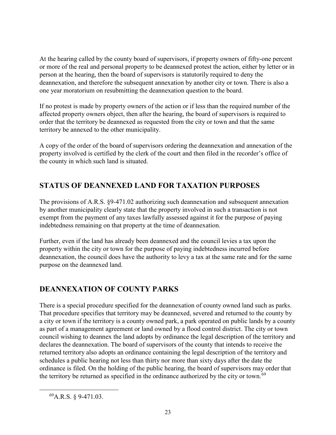At the hearing called by the county board of supervisors, if property owners of fifty-one percent or more of the real and personal property to be deannexed protest the action, either by letter or in person at the hearing, then the board of supervisors is statutorily required to deny the deannexation, and therefore the subsequent annexation by another city or town. There is also a one year moratorium on resubmitting the deannexation question to the board.

If no protest is made by property owners of the action or if less than the required number of the affected property owners object, then after the hearing, the board of supervisors is required to order that the territory be deannexed as requested from the city or town and that the same territory be annexed to the other municipality.

A copy of the order of the board of supervisors ordering the deannexation and annexation of the property involved is certified by the clerk of the court and then filed in the recorder's office of the county in which such land is situated.

# **STATUS OF DEANNEXED LAND FOR TAXATION PURPOSES**

The provisions of A.R.S. §9-471.02 authorizing such deannexation and subsequent annexation by another municipality clearly state that the property involved in such a transaction is not exempt from the payment of any taxes lawfully assessed against it for the purpose of paying indebtedness remaining on that property at the time of deannexation.

Further, even if the land has already been deannexed and the council levies a tax upon the property within the city or town for the purpose of paying indebtedness incurred before deannexation, the council does have the authority to levy a tax at the same rate and for the same purpose on the deannexed land.

# **DEANNEXATION OF COUNTY PARKS**

There is a special procedure specified for the deannexation of county owned land such as parks. That procedure specifies that territory may be deannexed, severed and returned to the county by a city or town if the territory is a county owned park, a park operated on public lands by a county as part of a management agreement or land owned by a flood control district. The city or town council wishing to deannex the land adopts by ordinance the legal description of the territory and declares the deannexation. The board of supervisors of the county that intends to receive the returned territory also adopts an ordinance containing the legal description of the territory and schedules a public hearing not less than thirty nor more than sixty days after the date the ordinance is filed. On the holding of the public hearing, the board of supervisors may order that the territory be returned as specified in the ordinance authorized by the city or town.<sup>[69](#page-27-0)</sup>

<span id="page-27-0"></span> $^{69}$ A.R.S. § 9-471.03.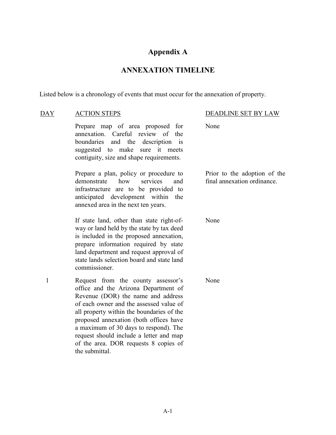# **Appendix A**

# **ANNEXATION TIMELINE**

Listed below is a chronology of events that must occur for the annexation of property.

| <b>DAY</b>   | <b>ACTION STEPS</b>                                                                                                                                                                                                                                                                                                                                                                               | DEADLINE SET BY LAW                                         |
|--------------|---------------------------------------------------------------------------------------------------------------------------------------------------------------------------------------------------------------------------------------------------------------------------------------------------------------------------------------------------------------------------------------------------|-------------------------------------------------------------|
|              | Prepare map of area proposed for<br>annexation. Careful review of the<br>and the<br>boundaries<br>description is<br>suggested to make<br>sure it meets<br>contiguity, size and shape requirements.                                                                                                                                                                                                | None                                                        |
|              | Prepare a plan, policy or procedure to<br>services<br>how<br>demonstrate<br>and<br>infrastructure are to be provided to<br>anticipated development within<br>the<br>annexed area in the next ten years.                                                                                                                                                                                           | Prior to the adoption of the<br>final annexation ordinance. |
|              | If state land, other than state right-of-<br>way or land held by the state by tax deed<br>is included in the proposed annexation,<br>prepare information required by state<br>land department and request approval of<br>state lands selection board and state land<br>commissioner.                                                                                                              | None                                                        |
| $\mathbf{1}$ | Request from the county assessor's<br>office and the Arizona Department of<br>Revenue (DOR) the name and address<br>of each owner and the assessed value of<br>all property within the boundaries of the<br>proposed annexation (both offices have<br>a maximum of 30 days to respond). The<br>request should include a letter and map<br>of the area. DOR requests 8 copies of<br>the submittal. | None                                                        |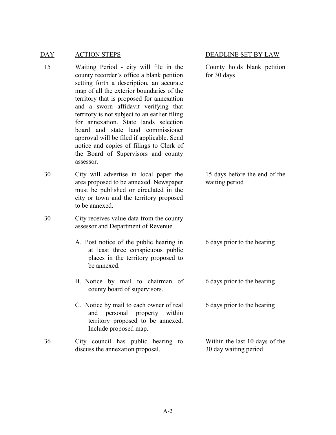#### DAY ACTION STEPS DEADLINE SET BY LAW

- 15 Waiting Period city will file in the county recorder's office a blank petition setting forth a description, an accurate map of all the exterior boundaries of the territory that is proposed for annexation and a sworn affidavit verifying that territory is not subject to an earlier filing for annexation. State lands selection board and state land commissioner approval will be filed if applicable. Send notice and copies of filings to Clerk of the Board of Supervisors and county assessor.
- 30 City will advertise in local paper the area proposed to be annexed. Newspaper must be published or circulated in the city or town and the territory proposed to be annexed.
- 30 City receives value data from the county assessor and Department of Revenue.
	- A. Post notice of the public hearing in at least three conspicuous public places in the territory proposed to be annexed.
	- B. Notice by mail to chairman of county board of supervisors.
	- C. Notice by mail to each owner of real and personal property within territory proposed to be annexed. Include proposed map.
- 36 City council has public hearing to discuss the annexation proposal.

County holds blank petition for 30 days

15 days before the end of the waiting period

6 days prior to the hearing

6 days prior to the hearing

6 days prior to the hearing

Within the last 10 days of the 30 day waiting period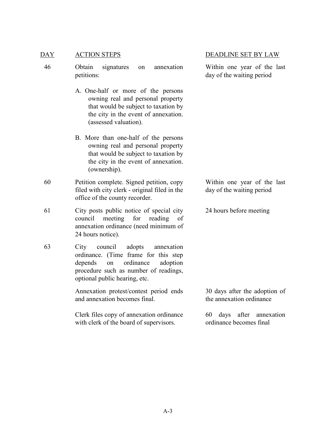#### DAY ACTION STEPS DEADLINE SET BY LAW

46 Obtain signatures on annexation petitions:

- A. One-half or more of the persons owning real and personal property that would be subject to taxation by the city in the event of annexation. (assessed valuation).
- B. More than one-half of the persons owning real and personal property that would be subject to taxation by the city in the event of annexation. (ownership).
- 60 Petition complete. Signed petition, copy filed with city clerk - original filed in the office of the county recorder.

61 City posts public notice of special city council meeting for reading of annexation ordinance (need minimum of 24 hours notice).

63 City council adopts annexation ordinance. (Time frame for this step depends on ordinance adoption procedure such as number of readings, optional public hearing, etc.

> Annexation protest/contest period ends and annexation becomes final.

> Clerk files copy of annexation ordinance with clerk of the board of supervisors.

Within one year of the last day of the waiting period

Within one year of the last day of the waiting period

24 hours before meeting

30 days after the adoption of the annexation ordinance

60 days after annexation ordinance becomes final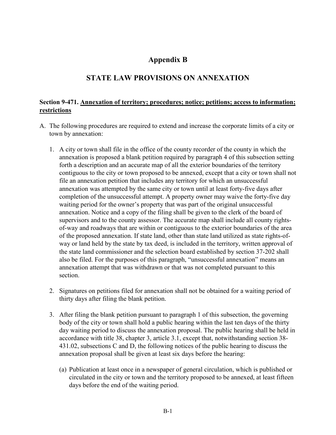## **Appendix B**

## **STATE LAW PROVISIONS ON ANNEXATION**

#### **Section 9-471. Annexation of territory; procedures; notice; petitions; access to information; restrictions**

- A. The following procedures are required to extend and increase the corporate limits of a city or town by annexation:
	- 1. A city or town shall file in the office of the county recorder of the county in which the annexation is proposed a blank petition required by paragraph 4 of this subsection setting forth a description and an accurate map of all the exterior boundaries of the territory contiguous to the city or town proposed to be annexed, except that a city or town shall not file an annexation petition that includes any territory for which an unsuccessful annexation was attempted by the same city or town until at least forty-five days after completion of the unsuccessful attempt. A property owner may waive the forty-five day waiting period for the owner's property that was part of the original unsuccessful annexation. Notice and a copy of the filing shall be given to the clerk of the board of supervisors and to the county assessor. The accurate map shall include all county rightsof-way and roadways that are within or contiguous to the exterior boundaries of the area of the proposed annexation. If state land, other than state land utilized as state rights-ofway or land held by the state by tax deed, is included in the territory, written approval of the state land commissioner and the selection board established by section 37-202 shall also be filed. For the purposes of this paragraph, "unsuccessful annexation" means an annexation attempt that was withdrawn or that was not completed pursuant to this section.
	- 2. Signatures on petitions filed for annexation shall not be obtained for a waiting period of thirty days after filing the blank petition.
	- 3. After filing the blank petition pursuant to paragraph 1 of this subsection, the governing body of the city or town shall hold a public hearing within the last ten days of the thirty day waiting period to discuss the annexation proposal. The public hearing shall be held in accordance with title 38, chapter 3, article 3.1, except that, notwithstanding section 38- 431.02, subsections C and D, the following notices of the public hearing to discuss the annexation proposal shall be given at least six days before the hearing:
		- (a) Publication at least once in a newspaper of general circulation, which is published or circulated in the city or town and the territory proposed to be annexed, at least fifteen days before the end of the waiting period.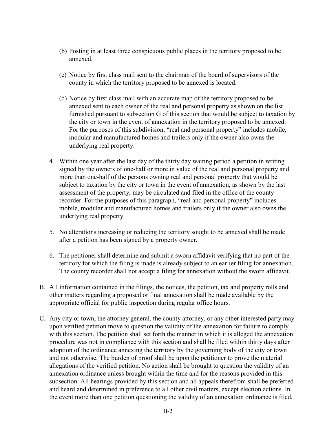- (b) Posting in at least three conspicuous public places in the territory proposed to be annexed.
- (c) Notice by first class mail sent to the chairman of the board of supervisors of the county in which the territory proposed to be annexed is located.
- (d) Notice by first class mail with an accurate map of the territory proposed to be annexed sent to each owner of the real and personal property as shown on the list furnished pursuant to subsection G of this section that would be subject to taxation by the city or town in the event of annexation in the territory proposed to be annexed. For the purposes of this subdivision, "real and personal property" includes mobile, modular and manufactured homes and trailers only if the owner also owns the underlying real property.
- 4. Within one year after the last day of the thirty day waiting period a petition in writing signed by the owners of one-half or more in value of the real and personal property and more than one-half of the persons owning real and personal property that would be subject to taxation by the city or town in the event of annexation, as shown by the last assessment of the property, may be circulated and filed in the office of the county recorder. For the purposes of this paragraph, "real and personal property" includes mobile, modular and manufactured homes and trailers only if the owner also owns the underlying real property.
- 5. No alterations increasing or reducing the territory sought to be annexed shall be made after a petition has been signed by a property owner.
- 6. The petitioner shall determine and submit a sworn affidavit verifying that no part of the territory for which the filing is made is already subject to an earlier filing for annexation. The county recorder shall not accept a filing for annexation without the sworn affidavit.
- B. All information contained in the filings, the notices, the petition, tax and property rolls and other matters regarding a proposed or final annexation shall be made available by the appropriate official for public inspection during regular office hours.
- C. Any city or town, the attorney general, the county attorney, or any other interested party may upon verified petition move to question the validity of the annexation for failure to comply with this section. The petition shall set forth the manner in which it is alleged the annexation procedure was not in compliance with this section and shall be filed within thirty days after adoption of the ordinance annexing the territory by the governing body of the city or town and not otherwise. The burden of proof shall be upon the petitioner to prove the material allegations of the verified petition. No action shall be brought to question the validity of an annexation ordinance unless brought within the time and for the reasons provided in this subsection. All hearings provided by this section and all appeals therefrom shall be preferred and heard and determined in preference to all other civil matters, except election actions. In the event more than one petition questioning the validity of an annexation ordinance is filed,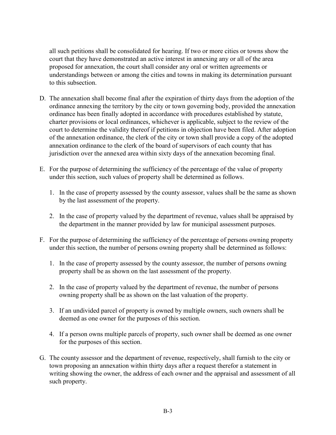all such petitions shall be consolidated for hearing. If two or more cities or towns show the court that they have demonstrated an active interest in annexing any or all of the area proposed for annexation, the court shall consider any oral or written agreements or understandings between or among the cities and towns in making its determination pursuant to this subsection.

- D. The annexation shall become final after the expiration of thirty days from the adoption of the ordinance annexing the territory by the city or town governing body, provided the annexation ordinance has been finally adopted in accordance with procedures established by statute, charter provisions or local ordinances, whichever is applicable, subject to the review of the court to determine the validity thereof if petitions in objection have been filed. After adoption of the annexation ordinance, the clerk of the city or town shall provide a copy of the adopted annexation ordinance to the clerk of the board of supervisors of each county that has jurisdiction over the annexed area within sixty days of the annexation becoming final.
- E. For the purpose of determining the sufficiency of the percentage of the value of property under this section, such values of property shall be determined as follows.
	- 1. In the case of property assessed by the county assessor, values shall be the same as shown by the last assessment of the property.
	- 2. In the case of property valued by the department of revenue, values shall be appraised by the department in the manner provided by law for municipal assessment purposes.
- F. For the purpose of determining the sufficiency of the percentage of persons owning property under this section, the number of persons owning property shall be determined as follows:
	- 1. In the case of property assessed by the county assessor, the number of persons owning property shall be as shown on the last assessment of the property.
	- 2. In the case of property valued by the department of revenue, the number of persons owning property shall be as shown on the last valuation of the property.
	- 3. If an undivided parcel of property is owned by multiple owners, such owners shall be deemed as one owner for the purposes of this section.
	- 4. If a person owns multiple parcels of property, such owner shall be deemed as one owner for the purposes of this section.
- G. The county assessor and the department of revenue, respectively, shall furnish to the city or town proposing an annexation within thirty days after a request therefor a statement in writing showing the owner, the address of each owner and the appraisal and assessment of all such property.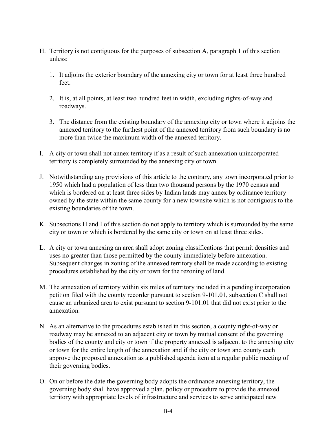- H. Territory is not contiguous for the purposes of subsection A, paragraph 1 of this section unless:
	- 1. It adjoins the exterior boundary of the annexing city or town for at least three hundred feet.
	- 2. It is, at all points, at least two hundred feet in width, excluding rights-of-way and roadways.
	- 3. The distance from the existing boundary of the annexing city or town where it adjoins the annexed territory to the furthest point of the annexed territory from such boundary is no more than twice the maximum width of the annexed territory.
- I. A city or town shall not annex territory if as a result of such annexation unincorporated territory is completely surrounded by the annexing city or town.
- J. Notwithstanding any provisions of this article to the contrary, any town incorporated prior to 1950 which had a population of less than two thousand persons by the 1970 census and which is bordered on at least three sides by Indian lands may annex by ordinance territory owned by the state within the same county for a new townsite which is not contiguous to the existing boundaries of the town.
- K. Subsections H and I of this section do not apply to territory which is surrounded by the same city or town or which is bordered by the same city or town on at least three sides.
- L. A city or town annexing an area shall adopt zoning classifications that permit densities and uses no greater than those permitted by the county immediately before annexation. Subsequent changes in zoning of the annexed territory shall be made according to existing procedures established by the city or town for the rezoning of land.
- M. The annexation of territory within six miles of territory included in a pending incorporation petition filed with the county recorder pursuant to section 9-101.01, subsection C shall not cause an urbanized area to exist pursuant to section 9-101.01 that did not exist prior to the annexation.
- N. As an alternative to the procedures established in this section, a county right-of-way or roadway may be annexed to an adjacent city or town by mutual consent of the governing bodies of the county and city or town if the property annexed is adjacent to the annexing city or town for the entire length of the annexation and if the city or town and county each approve the proposed annexation as a published agenda item at a regular public meeting of their governing bodies.
- O. On or before the date the governing body adopts the ordinance annexing territory, the governing body shall have approved a plan, policy or procedure to provide the annexed territory with appropriate levels of infrastructure and services to serve anticipated new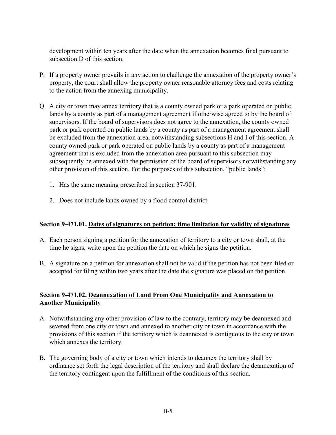development within ten years after the date when the annexation becomes final pursuant to subsection D of this section.

- P. If a property owner prevails in any action to challenge the annexation of the property owner's property, the court shall allow the property owner reasonable attorney fees and costs relating to the action from the annexing municipality.
- Q. A city or town may annex territory that is a county owned park or a park operated on public lands by a county as part of a management agreement if otherwise agreed to by the board of supervisors. If the board of supervisors does not agree to the annexation, the county owned park or park operated on public lands by a county as part of a management agreement shall be excluded from the annexation area, notwithstanding subsections H and I of this section. A county owned park or park operated on public lands by a county as part of a management agreement that is excluded from the annexation area pursuant to this subsection may subsequently be annexed with the permission of the board of supervisors notwithstanding any other provision of this section. For the purposes of this subsection, "public lands":
	- 1. Has the same meaning prescribed in section 37-901.
	- 2. Does not include lands owned by a flood control district.

#### **Section 9-471.01. Dates of signatures on petition; time limitation for validity of signatures**

- A. Each person signing a petition for the annexation of territory to a city or town shall, at the time he signs, write upon the petition the date on which he signs the petition.
- B. A signature on a petition for annexation shall not be valid if the petition has not been filed or accepted for filing within two years after the date the signature was placed on the petition.

#### **Section 9-471.02. Deannexation of Land From One Municipality and Annexation to Another Municipality**

- A. Notwithstanding any other provision of law to the contrary, territory may be deannexed and severed from one city or town and annexed to another city or town in accordance with the provisions of this section if the territory which is deannexed is contiguous to the city or town which annexes the territory.
- B. The governing body of a city or town which intends to deannex the territory shall by ordinance set forth the legal description of the territory and shall declare the deannexation of the territory contingent upon the fulfillment of the conditions of this section.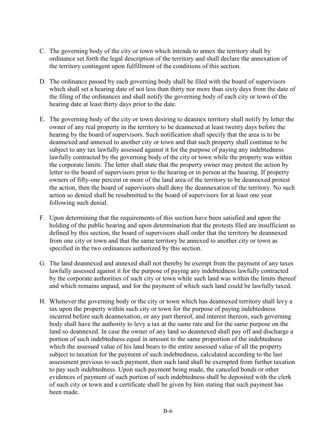- C. The governing body of the city or town which intends to annex the territory shall by ordinance set forth the legal description of the territory and shall declare the annexation of the territory contingent upon fulfillment of the conditions of this section.
- D. The ordinance passed by each governing body shall be filed with the board of supervisors which shall set a hearing date of not less than thirty nor more than sixty days from the date of the filing of the ordinances and shall notify the governing body of each city or town of the hearing date at least thirty days prior to the date.
- E. The governing body of the city or town desiring to deannex territory shall notify by letter the owner of any real property in the territory to be deannexed at least twenty days before the hearing by the board of supervisors. Such notification shall specify that the area is to be deannexed and annexed to another city or town and that such property shall continue to be subject to any tax lawfully assessed against it for the purpose of paying any indebtedness lawfully contracted by the governing body of the city or town while the property was within the corporate limits. The letter shall state that the property owner may protest the action by letter to the board of supervisors prior to the hearing or in person at the hearing. If property owners of fifty-one percent or more of the land area of the territory to be deannexed protest the action, then the board of supervisors shall deny the deannexation of the territory. No such action so denied shall be resubmitted to the board of supervisors for at least one year following such denial.
- F. Upon determining that the requirements of this section have been satisfied and upon the holding of the public hearing and upon determination that the protests filed are insufficient as defined by this section, the board of supervisors shall order that the territory be deannexed from one city or town and that the same territory be annexed to another city or town as specified in the two ordinances authorized by this section.
- G. The land deannexed and annexed shall not thereby be exempt from the payment of any taxes lawfully assessed against it for the purpose of paying any indebtedness lawfully contracted by the corporate authorities of such city or town while such land was within the limits thereof and which remains unpaid, and for the payment of which such land could be lawfully taxed.
- H. Whenever the governing body or the city or town which has deannexed territory shall levy a tax upon the property within such city or town for the purpose of paying indebtedness incurred before such deannexation, or any part thereof, and interest thereon, such governing body shall have the authority to levy a tax at the same rate and for the same purpose on the land so deannexed. In case the owner of any land so deannexed shall pay off and discharge a portion of such indebtedness equal in amount to the same proportion of the indebtedness which the assessed value of his land bears to the entire assessed value of all the property subject to taxation for the payment of such indebtedness, calculated according to the last assessment previous to such payment, then such land shall be exempted from further taxation to pay such indebtedness. Upon such payment being made, the canceled bonds or other evidences of payment of such portion of such indebtedness shall be deposited with the clerk of such city or town and a certificate shall be given by him stating that such payment has been made.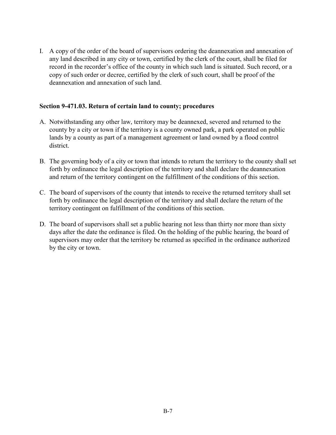I. A copy of the order of the board of supervisors ordering the deannexation and annexation of any land described in any city or town, certified by the clerk of the court, shall be filed for record in the recorder's office of the county in which such land is situated. Such record, or a copy of such order or decree, certified by the clerk of such court, shall be proof of the deannexation and annexation of such land.

#### **Section 9-471.03. Return of certain land to county; procedures**

- A. Notwithstanding any other law, territory may be deannexed, severed and returned to the county by a city or town if the territory is a county owned park, a park operated on public lands by a county as part of a management agreement or land owned by a flood control district.
- B. The governing body of a city or town that intends to return the territory to the county shall set forth by ordinance the legal description of the territory and shall declare the deannexation and return of the territory contingent on the fulfillment of the conditions of this section.
- C. The board of supervisors of the county that intends to receive the returned territory shall set forth by ordinance the legal description of the territory and shall declare the return of the territory contingent on fulfillment of the conditions of this section.
- D. The board of supervisors shall set a public hearing not less than thirty nor more than sixty days after the date the ordinance is filed. On the holding of the public hearing, the board of supervisors may order that the territory be returned as specified in the ordinance authorized by the city or town.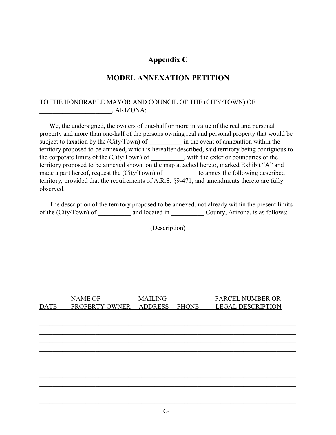## **Appendix C**

#### **MODEL ANNEXATION PETITION**

#### TO THE HONORABLE MAYOR AND COUNCIL OF THE (CITY/TOWN) OF \_\_\_\_\_\_\_\_\_\_\_\_\_\_\_\_\_\_\_\_\_\_, ARIZONA:

We, the undersigned, the owners of one-half or more in value of the real and personal property and more than one-half of the persons owning real and personal property that would be subject to taxation by the (City/Town) of \_\_\_\_\_\_\_\_\_\_ in the event of annexation within the territory proposed to be annexed, which is hereafter described, said territory being contiguous to the corporate limits of the (City/Town) of , with the exterior boundaries of the territory proposed to be annexed shown on the map attached hereto, marked Exhibit "A" and made a part hereof, request the (City/Town) of \_\_\_\_\_\_\_\_\_\_\_ to annex the following described territory, provided that the requirements of A.R.S. §9-471, and amendments thereto are fully observed.

The description of the territory proposed to be annexed, not already within the present limits of the (City/Town) of \_\_\_\_\_\_\_\_\_\_\_ and located in \_\_\_\_\_\_\_\_\_\_\_\_\_ County, Arizona, is as follows:

(Description)

|             | <b>NAME OF</b> | <b>MAILING</b> |       | PARCEL NUMBER OR         |
|-------------|----------------|----------------|-------|--------------------------|
| <b>DATE</b> | PROPERTY OWNER | ADDRESS        | PHONE | <b>LEGAL DESCRIPTION</b> |
|             |                |                |       |                          |
|             |                |                |       |                          |
|             |                |                |       |                          |
|             |                |                |       |                          |
|             |                |                |       |                          |
|             |                |                |       |                          |
|             |                |                |       |                          |
|             |                |                |       |                          |
|             |                |                |       |                          |
|             |                |                |       |                          |
|             |                |                |       |                          |
|             |                |                |       |                          |
|             |                |                |       |                          |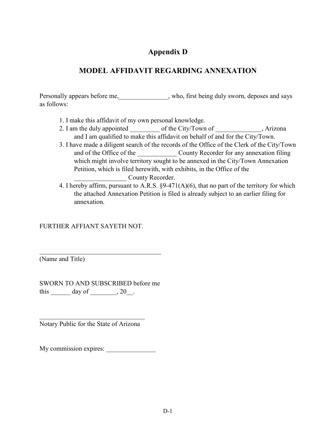# **Appendix D**

# **MODEL AFFIDAVIT REGARDING ANNEXATION**

Personally appears before me, who, first being duly sworn, deposes and says as follows:

- 1. I make this affidavit of my own personal knowledge.
- 2. I am the duly appointed \_\_\_\_\_\_\_\_\_\_ of the City/Town of \_\_\_\_\_\_\_\_\_\_\_\_, Arizona and I am qualified to make this affidavit on behalf of and for the City/Town.
- 3. I have made a diligent search of the records of the Office of the Clerk of the City/Town and of the Office of the \_\_\_\_\_\_\_\_\_\_\_\_\_\_\_\_\_ County Recorder for any annexation filing which might involve territory sought to be annexed in the City/Town Annexation Petition, which is filed herewith, with exhibits, in the Office of the County Recorder.
- 4. I hereby affirm, pursuant to A.R.S. §9-471(A)(6), that no part of the territory for which the attached Annexation Petition is filed is already subject to an earlier filing for annexation.

FURTHER AFFIANT SAYETH NOT.

(Name and Title)

SWORN TO AND SUBSCRIBED before me this  $\_\_\_\_\$  day of  $\_\_\_\_\$ , 20 $\_\_\_\$ .

\_\_\_\_\_\_\_\_\_\_\_\_\_\_\_\_\_\_\_\_\_\_\_\_\_\_\_\_\_\_\_\_\_\_\_\_\_

 $\mathcal{L}_\text{max}$  , which is a set of the set of the set of the set of the set of the set of the set of the set of the set of the set of the set of the set of the set of the set of the set of the set of the set of the set of Notary Public for the State of Arizona

My commission expires: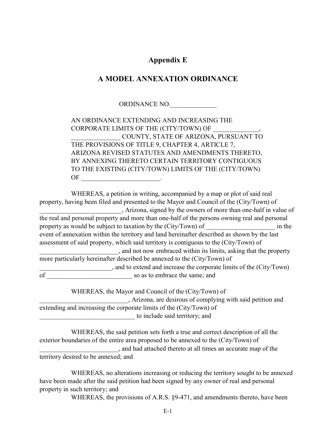## **Appendix E**

#### **A MODEL ANNEXATION ORDINANCE**

ORDINANCE NO.

AN ORDINANCE EXTENDING AND INCREASING THE CORPORATE LIMITS OF THE (CITY/TOWN) OF \_\_\_\_\_\_\_\_\_\_\_\_\_\_\_ COUNTY, STATE OF ARIZONA, PURSUANT TO THE PROVISIONS OF TITLE 9, CHAPTER 4, ARTICLE 7, ARIZONA REVISED STATUTES AND AMENDMENTS THERETO, BY ANNEXING THERETO CERTAIN TERRITORY CONTIGUOUS TO THE EXISTING (CITY/TOWN) LIMITS OF THE (CITY/TOWN) OF \_\_\_\_\_\_\_\_\_\_\_\_\_\_\_\_\_\_\_\_\_\_\_\_.

WHEREAS, a petition in writing, accompanied by a map or plot of said real property, having been filed and presented to the Mayor and Council of the (City/Town) of \_\_\_\_\_\_\_\_\_\_\_\_\_\_\_\_\_\_\_\_\_\_\_\_\_, Arizona, signed by the owners of more than one-half in value of the real and personal property and more than one-half of the persons owning real and personal property as would be subject to taxation by the (City/Town) of  $\qquad \qquad$  in the event of annexation within the territory and land hereinafter described as shown by the last assessment of said property, which said territory is contiguous to the (City/Town) of \_\_\_\_\_\_\_\_\_\_\_\_\_\_\_\_\_\_\_\_\_\_\_\_, and not now embraced within its limits, asking that the property more particularly hereinafter described be annexed to the (City/Town) of \_\_\_\_\_\_\_\_\_\_\_\_\_\_\_\_\_\_\_\_\_\_, and to extend and increase the corporate limits of the (City/Town) of so as to embrace the same; and

WHEREAS, the Mayor and Council of the (City/Town) of \_\_\_\_\_\_\_\_\_\_\_\_\_\_\_\_\_\_\_\_\_\_\_\_\_\_\_, Arizona, are desirous of complying with said petition and extending and increasing the corporate limits of the (City/Town) of to include said territory; and

WHEREAS, the said petition sets forth a true and correct description of all the exterior boundaries of the entire area proposed to be annexed to the (City/Town) of \_\_\_\_\_\_\_\_\_\_\_\_\_\_\_\_\_\_\_\_\_\_\_\_, and had attached thereto at all times an accurate map of the territory desired to be annexed; and

WHEREAS, no alterations increasing or reducing the territory sought to be annexed have been made after the said petition had been signed by any owner of real and personal property in such territory; and

WHEREAS, the provisions of A.R.S. §9-471, and amendments thereto, have been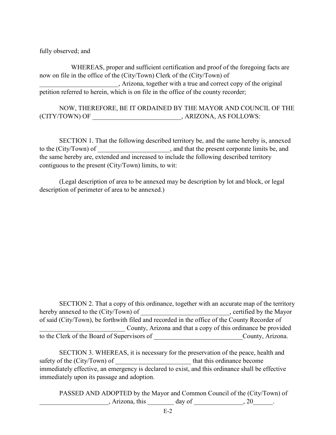fully observed; and

WHEREAS, proper and sufficient certification and proof of the foregoing facts are now on file in the office of the (City/Town) Clerk of the (City/Town) of \_\_\_\_\_\_\_\_\_\_\_\_\_\_\_\_\_\_\_\_\_\_\_\_, Arizona, together with a true and correct copy of the original petition referred to herein, which is on file in the office of the county recorder;

NOW, THEREFORE, BE IT ORDAINED BY THE MAYOR AND COUNCIL OF THE (CITY/TOWN) OF \_\_\_\_\_\_\_\_\_\_\_\_\_\_\_\_\_\_\_\_\_\_\_\_\_\_\_, ARIZONA, AS FOLLOWS:

SECTION 1. That the following described territory be, and the same hereby is, annexed to the (City/Town) of \_\_\_\_\_\_\_\_\_\_\_\_\_\_\_\_\_\_\_\_\_, and that the present corporate limits be, and the same hereby are, extended and increased to include the following described territory contiguous to the present (City/Town) limits, to wit:

(Legal description of area to be annexed may be description by lot and block, or legal description of perimeter of area to be annexed.)

SECTION 2. That a copy of this ordinance, together with an accurate map of the territory hereby annexed to the (City/Town) of  $\qquad \qquad$ , certified by the Mayor of said (City/Town), be forthwith filed and recorded in the office of the County Recorder of County, Arizona and that a copy of this ordinance be provided to the Clerk of the Board of Supervisors of \_\_\_\_\_\_\_\_\_\_\_\_\_\_\_\_\_\_\_\_\_\_\_\_\_\_\_County, Arizona.

SECTION 3. WHEREAS, it is necessary for the preservation of the peace, health and safety of the (City/Town) of \_\_\_\_\_\_\_\_\_\_\_\_\_\_\_\_\_\_\_\_\_\_\_ that this ordinance become immediately effective, an emergency is declared to exist, and this ordinance shall be effective immediately upon its passage and adoption.

PASSED AND ADOPTED by the Mayor and Common Council of the (City/Town) of  $\therefore$  Arizona, this  $\frac{1}{\text{day of}}$  day of  $\frac{1}{\text{day of}}$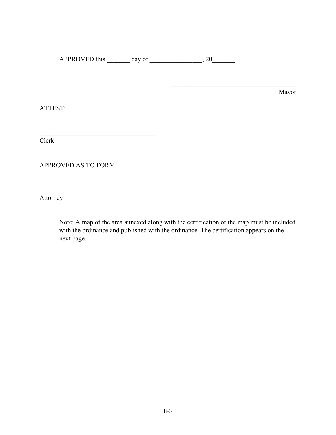APPROVED this  $\_\_\_\_\$  day of  $\_\_\_\_\_\$ , 20 $\_\_\_\_\$ .

Mayor

 $\mathcal{L}_\text{max}$  and  $\mathcal{L}_\text{max}$  and  $\mathcal{L}_\text{max}$  and  $\mathcal{L}_\text{max}$ 

ATTEST:

Clerk

APPROVED AS TO FORM:

 $\mathcal{L}_\mathcal{L}$  , which is a set of the set of the set of the set of the set of the set of the set of the set of the set of the set of the set of the set of the set of the set of the set of the set of the set of the set of

 $\mathcal{L}_\mathcal{L}$  , which is a set of the set of the set of the set of the set of the set of the set of the set of the set of the set of the set of the set of the set of the set of the set of the set of the set of the set of

Attorney

Note: A map of the area annexed along with the certification of the map must be included with the ordinance and published with the ordinance. The certification appears on the next page.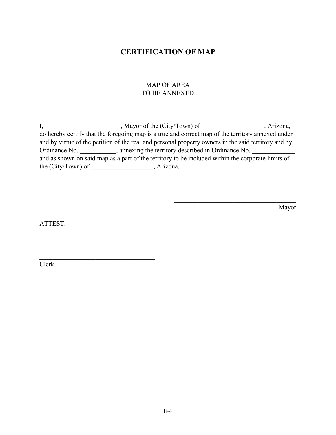## **CERTIFICATION OF MAP**

#### MAP OF AREA TO BE ANNEXED

I, \_\_\_\_\_\_\_\_\_\_\_\_\_\_\_\_\_\_\_, Mayor of the (City/Town) of \_\_\_\_\_\_\_\_\_\_\_\_\_\_\_, Arizona, do hereby certify that the foregoing map is a true and correct map of the territory annexed under and by virtue of the petition of the real and personal property owners in the said territory and by Ordinance No. \_\_\_\_\_\_\_\_\_\_\_, annexing the territory described in Ordinance No. and as shown on said map as a part of the territory to be included within the corporate limits of the (City/Town) of \_\_\_\_\_\_\_\_\_\_\_\_\_\_\_\_\_\_\_, Arizona.

Mayor

ATTEST:

 $\mathcal{L}_\mathcal{L}$  , which is a set of the set of the set of the set of the set of the set of the set of the set of the set of the set of the set of the set of the set of the set of the set of the set of the set of the set of

Clerk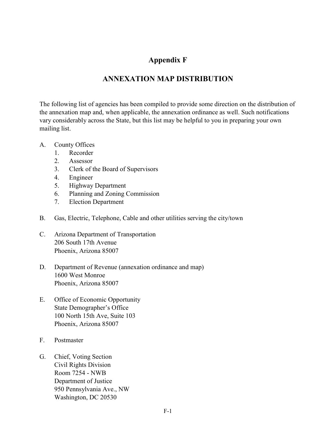# **Appendix F**

# **ANNEXATION MAP DISTRIBUTION**

The following list of agencies has been compiled to provide some direction on the distribution of the annexation map and, when applicable, the annexation ordinance as well. Such notifications vary considerably across the State, but this list may be helpful to you in preparing your own mailing list.

- A. County Offices
	- 1. Recorder
	- 2. Assessor
	- 3. Clerk of the Board of Supervisors
	- 4. Engineer
	- 5. Highway Department
	- 6. Planning and Zoning Commission
	- 7. Election Department
- B. Gas, Electric, Telephone, Cable and other utilities serving the city/town
- C. Arizona Department of Transportation 206 South 17th Avenue Phoenix, Arizona 85007
- D. Department of Revenue (annexation ordinance and map) 1600 West Monroe Phoenix, Arizona 85007
- E. Office of Economic Opportunity State Demographer's Office 100 North 15th Ave, Suite 103 Phoenix, Arizona 85007
- F. Postmaster
- G. Chief, Voting Section Civil Rights Division Room 7254 - NWB Department of Justice 950 Pennsylvania Ave., NW Washington, DC 20530